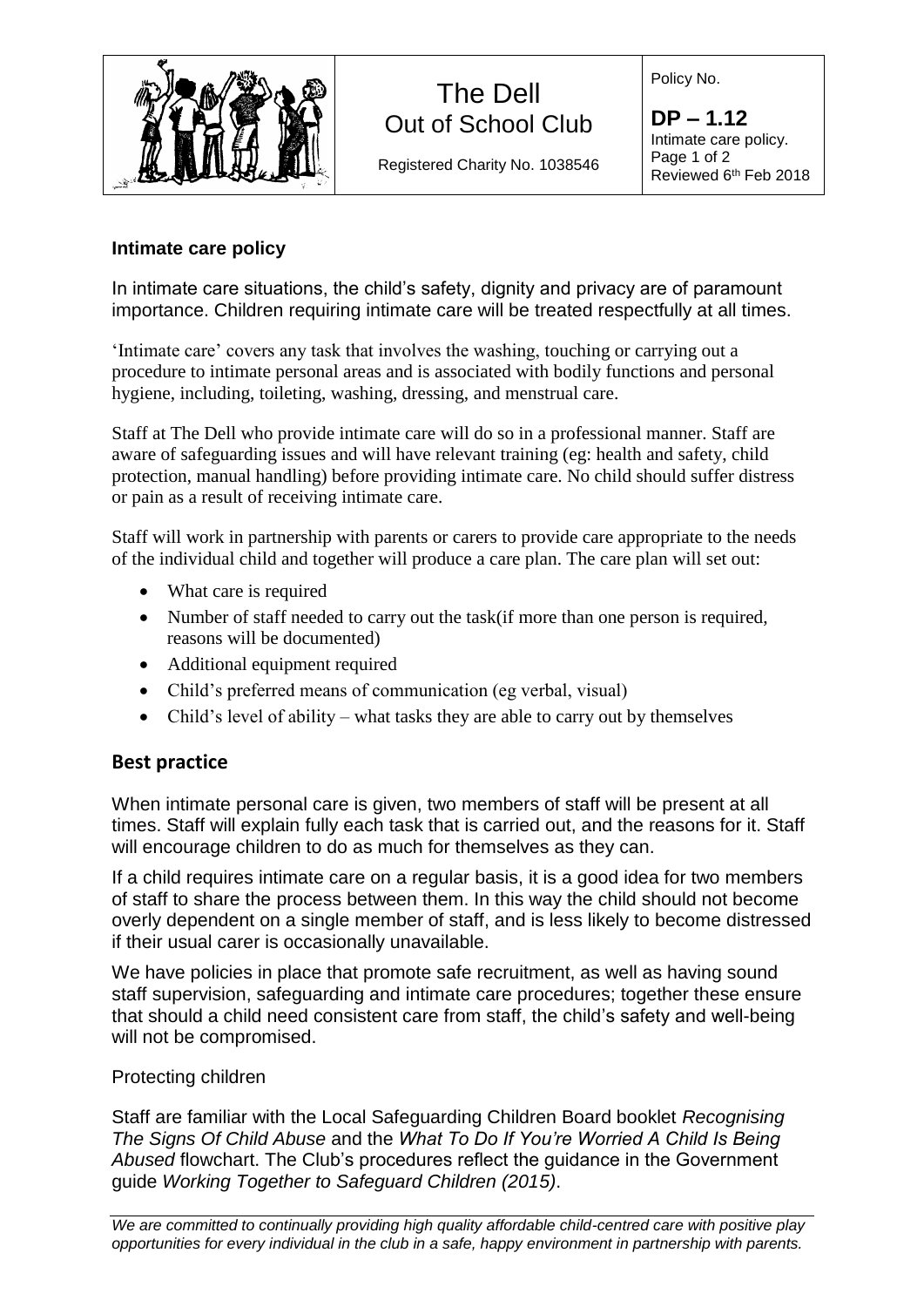

# The Dell Out of School Club

Registered Charity No. 1038546

Policy No.

**DP – 1.12** Intimate care policy. Page 1 of 2 Reviewed 6<sup>th</sup> Feb 2018

### **Intimate care policy**

In intimate care situations, the child's safety, dignity and privacy are of paramount importance. Children requiring intimate care will be treated respectfully at all times.

'Intimate care' covers any task that involves the washing, touching or carrying out a procedure to intimate personal areas and is associated with bodily functions and personal hygiene, including, toileting, washing, dressing, and menstrual care.

Staff at The Dell who provide intimate care will do so in a professional manner. Staff are aware of safeguarding issues and will have relevant training (eg: health and safety, child protection, manual handling) before providing intimate care. No child should suffer distress or pain as a result of receiving intimate care.

Staff will work in partnership with parents or carers to provide care appropriate to the needs of the individual child and together will produce a care plan. The care plan will set out:

- What care is required
- Number of staff needed to carry out the task (if more than one person is required, reasons will be documented)
- Additional equipment required
- Child's preferred means of communication (eg verbal, visual)
- Child's level of ability what tasks they are able to carry out by themselves

## **Best practice**

When intimate personal care is given, two members of staff will be present at all times. Staff will explain fully each task that is carried out, and the reasons for it. Staff will encourage children to do as much for themselves as they can.

If a child requires intimate care on a regular basis, it is a good idea for two members of staff to share the process between them. In this way the child should not become overly dependent on a single member of staff, and is less likely to become distressed if their usual carer is occasionally unavailable.

We have policies in place that promote safe recruitment, as well as having sound staff supervision, safeguarding and intimate care procedures; together these ensure that should a child need consistent care from staff, the child's safety and well-being will not be compromised.

#### Protecting children

Staff are familiar with the Local Safeguarding Children Board booklet *Recognising The Signs Of Child Abuse* and the *What To Do If You're Worried A Child Is Being Abused* flowchart. The Club's procedures reflect the guidance in the Government guide *Working Together to Safeguard Children (2015)*.